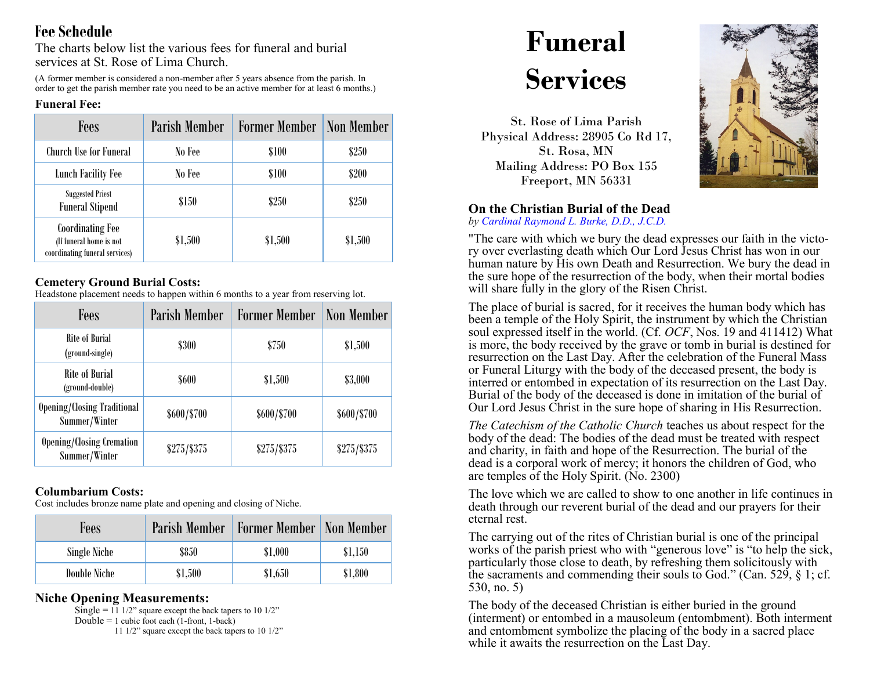## **Fee Schedule**

The charts below list the various fees for funeral and burial services at St. Rose of Lima Church.

(A former member is considered a non-member after 5 years absence from the parish. In order to get the parish member rate you need to be an active member for at least 6 months.)

#### **Funeral Fee:**

| <b>Fees</b>                                                                          | Parish Member | <b>Former Member</b> | Non Member |
|--------------------------------------------------------------------------------------|---------------|----------------------|------------|
| <b>Church Use for Funeral</b>                                                        | No Fee        | \$100                | \$250      |
| <b>Lunch Facility Fee</b>                                                            | No Fee        | \$100                | \$200      |
| <b>Suggested Priest</b><br><b>Funeral Stipend</b>                                    | \$150         | \$250                | \$250      |
| <b>Coordinating Fee</b><br>(If funeral home is not<br>coordinating funeral services) | \$1,500       | \$1,500              | \$1,500    |

## **Cemetery Ground Burial Costs:**

Headstone placement needs to happen within 6 months to a year from reserving lot.

| Fees                                                | <b>Parish Member</b> | <b>Former Member</b> | <b>Non Member</b> |
|-----------------------------------------------------|----------------------|----------------------|-------------------|
| Rite of Burial<br>(ground-single)                   | <b>\$300</b>         | \$750                | \$1,500           |
| Rite of Burial<br>(ground-double)                   | \$600                | \$1,500              | \$3,000           |
| <b>Opening/Closing Traditional</b><br>Summer/Winter | \$600/\$700          | \$600/\$700          | \$600/\$700       |
| <b>Opening/Closing Cremation</b><br>Summer/Winter   | $$275/$ \$375        | $$275/$ \$375        | $$275/$ \$375     |

### **Columbarium Costs:**

Cost includes bronze name plate and opening and closing of Niche.

| Fees         | Parish Member | Former Member   Non Member |         |
|--------------|---------------|----------------------------|---------|
| Single Niche | \$850         | \$1,000                    | \$1,150 |
| Double Niche | \$1,500       | \$1,650                    | \$1,800 |

## **Niche Opening Measurements:**

Single =  $11 \frac{1}{2}$ " square except the back tapers to  $10 \frac{1}{2}$ " Double  $= 1$  cubic foot each (1-front, 1-back) 11 1/2" square except the back tapers to 10 1/2"

# **Funeral Services**

St. Rose of Lima Parish Physical Address: 28905 Co Rd 17, St. Rosa, MN Mailing Address: PO Box 155 Freeport, MN 56331



## **On the Christian Burial of the Dead**

*by Cardinal Raymond L. Burke, D.D., J.C.D.*

"The care with which we bury the dead expresses our faith in the victory over everlasting death which Our Lord Jesus Christ has won in our human nature by His own Death and Resurrection. We bury the dead in the sure hope of the resurrection of the body, when their mortal bodies will share fully in the glory of the Risen Christ.

The place of burial is sacred, for it receives the human body which has been a temple of the Holy Spirit, the instrument by which the Christian soul expressed itself in the world. (Cf. *OCF*, Nos. 19 and 411412) What is more, the body received by the grave or tomb in burial is destined for resurrection on the Last Day. After the celebration of the Funeral Mass or Funeral Liturgy with the body of the deceased present, the body is interred or entombed in expectation of its resurrection on the Last Day. Burial of the body of the deceased is done in imitation of the burial of Our Lord Jesus Christ in the sure hope of sharing in His Resurrection.

*The Catechism of the Catholic Church* teaches us about respect for the body of the dead: The bodies of the dead must be treated with respect and charity, in faith and hope of the Resurrection. The burial of the dead is a corporal work of mercy; it honors the children of God, who are temples of the Holy Spirit. (No. 2300)

The love which we are called to show to one another in life continues in death through our reverent burial of the dead and our prayers for their eternal rest.

The carrying out of the rites of Christian burial is one of the principal works of the parish priest who with "generous love" is "to help the sick, particularly those close to death, by refreshing them solicitously with the sacraments and commending their souls to God." (Can. 529, § 1; cf. 530, no. 5)

The body of the deceased Christian is either buried in the ground (interment) or entombed in a mausoleum (entombment). Both interment and entombment symbolize the placing of the body in a sacred place while it awaits the resurrection on the Last Day.